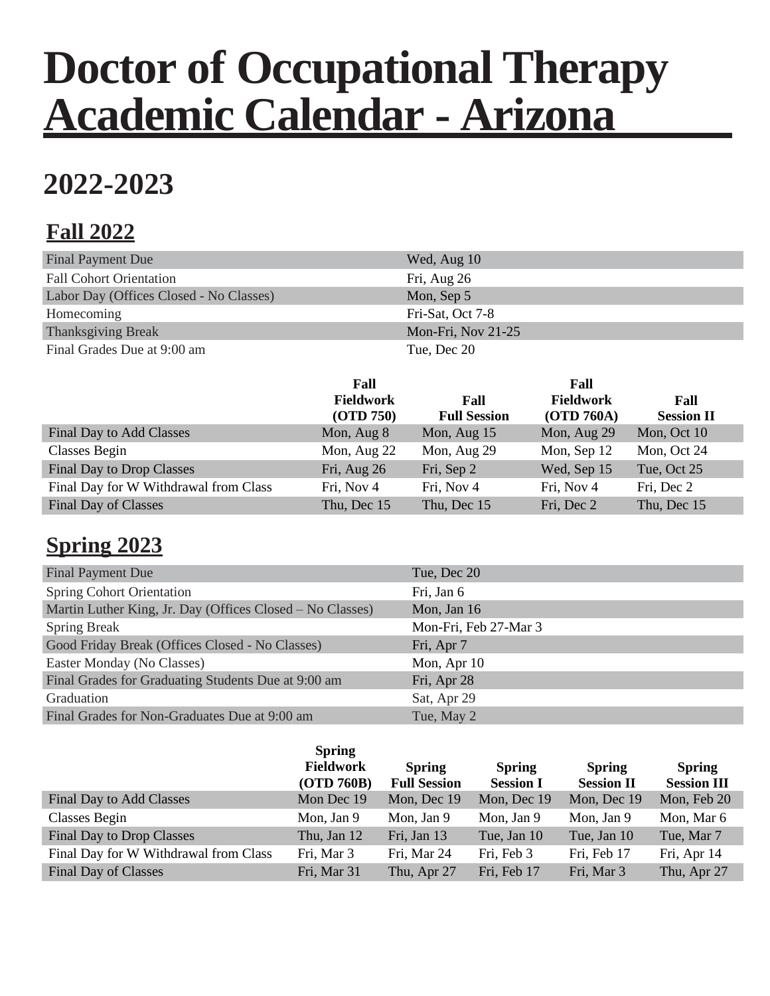# **Doctor of Occupational Therapy Academic Calendar - Arizona**

## **2022-2023**

### **Fall 2022**

| Final Payment Due                       | Wed, Aug 10        |
|-----------------------------------------|--------------------|
| <b>Fall Cohort Orientation</b>          | Fri, Aug 26        |
| Labor Day (Offices Closed - No Classes) | Mon, Sep 5         |
| Homecoming                              | Fri-Sat, Oct 7-8   |
| <b>Thanksgiving Break</b>               | Mon-Fri, Nov 21-25 |
| Final Grades Due at 9:00 am             | Tue. Dec 20        |

|                                       | Fall<br><b>Fieldwork</b><br>(OTD 750) | Fall<br><b>Full Session</b> | Fall<br><b>Fieldwork</b><br>(OTD 760A) | Fall<br><b>Session II</b> |
|---------------------------------------|---------------------------------------|-----------------------------|----------------------------------------|---------------------------|
| Final Day to Add Classes              | Mon, Aug 8                            | Mon, Aug 15                 | Mon, Aug 29                            | Mon, Oct 10               |
| <b>Classes Begin</b>                  | Mon, Aug 22                           | Mon, Aug 29                 | Mon, Sep 12                            | Mon, Oct 24               |
| <b>Final Day to Drop Classes</b>      | Fri, Aug 26                           | Fri, Sep 2                  | Wed, Sep 15                            | Tue, Oct 25               |
| Final Day for W Withdrawal from Class | Fri, Nov 4                            | Fri, Nov 4                  | Fri, Nov 4                             | Fri, Dec 2                |
| <b>Final Day of Classes</b>           | Thu, Dec 15                           | Thu, Dec 15                 | Fri, Dec 2                             | Thu, Dec 15               |

#### **Spring 2023**

| <b>Final Payment Due</b>                                  | Tue, Dec 20           |
|-----------------------------------------------------------|-----------------------|
| <b>Spring Cohort Orientation</b>                          | Fri, Jan 6            |
| Martin Luther King, Jr. Day (Offices Closed – No Classes) | Mon, Jan 16           |
| <b>Spring Break</b>                                       | Mon-Fri, Feb 27-Mar 3 |
| Good Friday Break (Offices Closed - No Classes)           | Fri, Apr 7            |
| Easter Monday (No Classes)                                | Mon, Apr 10           |
| Final Grades for Graduating Students Due at 9:00 am       | Fri, Apr 28           |
| Graduation                                                | Sat, Apr 29           |
| Final Grades for Non-Graduates Due at 9:00 am             | Tue, May 2            |

|                                       | <b>Spring</b><br><b>Fieldwork</b><br><b>(OTD 760B)</b> | <b>Spring</b><br><b>Full Session</b> | <b>Spring</b><br><b>Session I</b> | <b>Spring</b><br><b>Session II</b> | <b>Spring</b><br><b>Session III</b> |
|---------------------------------------|--------------------------------------------------------|--------------------------------------|-----------------------------------|------------------------------------|-------------------------------------|
| Final Day to Add Classes              | Mon Dec 19                                             | Mon, Dec 19                          | Mon, Dec 19                       | Mon, Dec 19                        | Mon, Feb 20                         |
| <b>Classes Begin</b>                  | Mon, Jan 9                                             | Mon, Jan 9                           | Mon, Jan 9                        | Mon, Jan 9                         | Mon, Mar 6                          |
| Final Day to Drop Classes             | Thu, Jan 12                                            | Fri, Jan 13                          | Tue, Jan 10                       | Tue, Jan 10                        | Tue, Mar 7                          |
| Final Day for W Withdrawal from Class | Fri, Mar 3                                             | Fri, Mar 24                          | Fri, Feb 3                        | Fri, Feb 17                        | Fri, Apr 14                         |
| Final Day of Classes                  | Fri, Mar 31                                            | Thu, Apr 27                          | Fri, Feb 17                       | Fri, Mar 3                         | Thu, Apr 27                         |